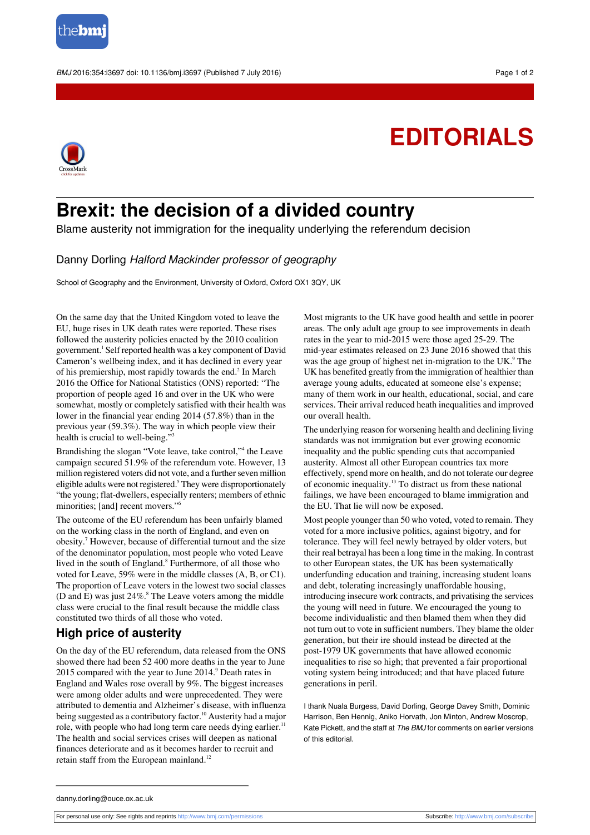

BMJ 2016:354:i3697 doi: 10.1136/bmi.i3697 (Published 7 July 2016) **Page 1 of 2** and 2016 Page 1 of 2

## **EDITORIALS**



## **Brexit: the decision of a divided country**

Blame austerity not immigration for the inequality underlying the referendum decision

## Danny Dorling Halford Mackinder professor of geography

School of Geography and the Environment, University of Oxford, Oxford OX1 3QY, UK

On the same day that the United Kingdom voted to leave the EU, huge rises in UK death rates were reported. These rises followed the austerity policies enacted by the 2010 coalition government.<sup>1</sup> Self reported health was a key component of David Cameron's wellbeing index, and it has declined in every year of his premiership, most rapidly towards the end.<sup>2</sup> In March 2016 the Office for National Statistics (ONS) reported: "The proportion of people aged 16 and over in the UK who were somewhat, mostly or completely satisfied with their health was lower in the financial year ending 2014 (57.8%) than in the previous year (59.3%). The way in which people view their health is crucial to well-being."<sup>3</sup>

Brandishing the slogan "Vote leave, take control," the Leave campaign secured 51.9% of the referendum vote. However, 13 million registered voters did not vote, and a further seven million eligible adults were not registered.<sup>5</sup> They were disproportionately "the young; flat-dwellers, especially renters; members of ethnic minorities; [and] recent movers."<sup>6</sup>

The outcome of the EU referendum has been unfairly blamed on the working class in the north of England, and even on obesity.<sup>7</sup> However, because of differential turnout and the size of the denominator population, most people who voted Leave lived in the south of England.<sup>8</sup> Furthermore, of all those who voted for Leave, 59% were in the middle classes (A, B, or C1). The proportion of Leave voters in the lowest two social classes (D and E) was just 24%.<sup>8</sup> The Leave voters among the middle class were crucial to the final result because the middle class constituted two thirds of all those who voted.

## **High price of austerity**

On the day of the EU referendum, data released from the ONS showed there had been 52 400 more deaths in the year to June 2015 compared with the year to June 2014.<sup>9</sup> Death rates in England and Wales rose overall by 9%. The biggest increases were among older adults and were unprecedented. They were attributed to dementia and Alzheimer's disease, with influenza being suggested as a contributory factor.<sup>10</sup> Austerity had a major role, with people who had long term care needs dying earlier.<sup>11</sup> The health and social services crises will deepen as national finances deteriorate and as it becomes harder to recruit and retain staff from the European mainland.<sup>12</sup>

Most migrants to the UK have good health and settle in poorer areas. The only adult age group to see improvements in death rates in the year to mid-2015 were those aged 25-29. The mid-year estimates released on 23 June 2016 showed that this was the age group of highest net in-migration to the UK.<sup>9</sup> The UK has benefited greatly from the immigration of healthier than average young adults, educated at someone else's expense; many of them work in our health, educational, social, and care services. Their arrival reduced heath inequalities and improved our overall health.

The underlying reason for worsening health and declining living standards was not immigration but ever growing economic inequality and the public spending cuts that accompanied austerity. Almost all other European countries tax more effectively, spend more on health, and do not tolerate our degree of economic inequality.<sup>13</sup> To distract us from these national failings, we have been encouraged to blame immigration and the EU. That lie will now be exposed.

Most people younger than 50 who voted, voted to remain. They voted for a more inclusive politics, against bigotry, and for tolerance. They will feel newly betrayed by older voters, but their real betrayal has been a long time in the making. In contrast to other European states, the UK has been systematically underfunding education and training, increasing student loans and debt, tolerating increasingly unaffordable housing, introducing insecure work contracts, and privatising the services the young will need in future. We encouraged the young to become individualistic and then blamed them when they did not turn out to vote in sufficient numbers. They blame the older generation, but their ire should instead be directed at the post-1979 UK governments that have allowed economic inequalities to rise so high; that prevented a fair proportional voting system being introduced; and that have placed future generations in peril.

I thank Nuala Burgess, David Dorling, George Davey Smith, Dominic Harrison, Ben Hennig, Aniko Horvath, Jon Minton, Andrew Moscrop, Kate Pickett, and the staff at The BMJ for comments on earlier versions of this editorial.

danny.dorling@ouce.ox.ac.uk

For personal use only: See rights and reprints<http://www.bmj.com/permissions> Subscribe: <http://www.bmj.com/subscribe>